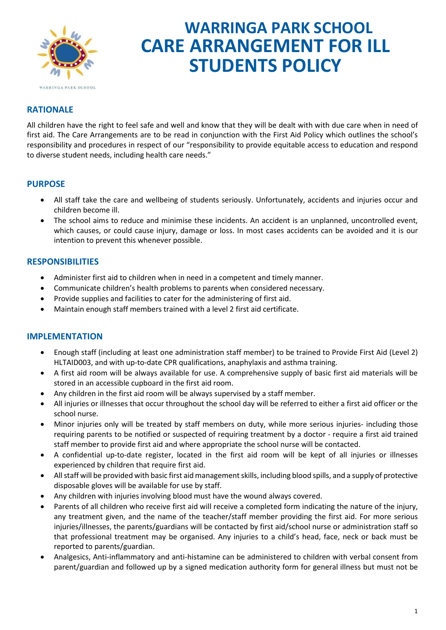

# **WARRINGA PARK SCHOOL CARE ARRANGEMENT FOR ILL STUDENTS POLICY**

## **RATIONALE**

All children have the right to feel safe and well and know that they will be dealt with with due care when in need of first aid. The Care Arrangements are to be read in conjunction with the First Aid Policy which outlines the school's responsibility and procedures in respect of our "responsibility to provide equitable access to education and respond to diverse student needs, including health care needs."

### **PURPOSE**

- All staff take the care and wellbeing of students seriously. Unfortunately, accidents and injuries occur and children become ill.
- The school aims to reduce and minimise these incidents. An accident is an unplanned, uncontrolled event, which causes, or could cause injury, damage or loss. In most cases accidents can be avoided and it is our intention to prevent this whenever possible.

## **RESPONSIBILITIES**

- Administer first aid to children when in need in a competent and timely manner.
- Communicate children's health problems to parents when considered necessary.
- Provide supplies and facilities to cater for the administering of first aid.
- Maintain enough staff members trained with a level 2 first aid certificate.

### **IMPLEMENTATION**

- Enough staff (including at least one administration staff member) to be trained to Provide First Aid (Level 2) HLTAID003, and with up-to-date CPR qualifications, anaphylaxis and asthma training.
- A first aid room will be always available for use. A comprehensive supply of basic first aid materials will be stored in an accessible cupboard in the first aid room.
- Any children in the first aid room will be always supervised by a staff member.
- All injuries or illnesses that occur throughout the school day will be referred to either a first aid officer or the school nurse.
- Minor injuries only will be treated by staff members on duty, while more serious injuries- including those requiring parents to be notified or suspected of requiring treatment by a doctor - require a first aid trained staff member to provide first aid and where appropriate the school nurse will be contacted.
- A confidential up-to-date register, located in the first aid room will be kept of all injuries or illnesses experienced by children that require first aid.
- All staff will be provided with basic first aid management skills, including blood spills, and a supply of protective disposable gloves will be available for use by staff.
- Any children with injuries involving blood must have the wound always covered.
- Parents of all children who receive first aid will receive a completed form indicating the nature of the injury, any treatment given, and the name of the teacher/staff member providing the first aid. For more serious injuries/illnesses, the parents/guardians will be contacted by first aid/school nurse or administration staff so that professional treatment may be organised. Any injuries to a child's head, face, neck or back must be reported to parents/guardian.
- Analgesics, Anti-inflammatory and anti-histamine can be administered to children with verbal consent from parent/guardian and followed up by a signed medication authority form for general illness but must not be